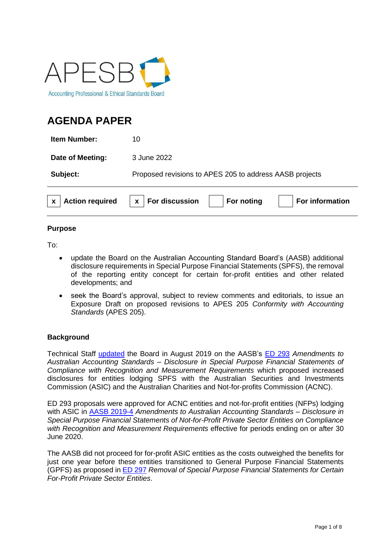

# **AGENDA PAPER**

**Item Number:** 10

**Date of Meeting:** 3 June 2022

**Subject:** Proposed revisions to APES 205 to address AASB projects

|  | x   Action required | $x \mid$ For discussion | For noting | <b>For information</b> |
|--|---------------------|-------------------------|------------|------------------------|
|  |                     |                         |            |                        |

# **Purpose**

To:

- update the Board on the Australian Accounting Standard Board's (AASB) additional disclosure requirements in Special Purpose Financial Statements (SPFS), the removal of the reporting entity concept for certain for-profit entities and other related developments; and
- seek the Board's approval, subject to review comments and editorials, to issue an Exposure Draft on proposed revisions to APES 205 *Conformity with Accounting Standards* (APES 205).

# **Background**

Technical Staff [updated](https://apesb.org.au/wp-content/uploads/meeting/board_meeting/20190809031007_Agenda_Item_7_Proposed_Revisions_to_APES_205_and_APES_315.pdf) the Board in August 2019 on the AASB's [ED 293](https://www.aasb.gov.au/admin/file/content105/c9/ACCED293_07-19.pdf) *Amendments to Australian Accounting Standards – Disclosure in Special Purpose Financial Statements of Compliance with Recognition and Measurement Requirements* which proposed increased disclosures for entities lodging SPFS with the Australian Securities and Investments Commission (ASIC) and the Australian Charities and Not-for-profits Commission (ACNC).

ED 293 proposals were approved for ACNC entities and not-for-profit entities (NFPs) lodging with ASIC in [AASB 2019-4](https://aasb.gov.au/admin/file/content105/c9/AASB2019-4_11-19.pdf) *Amendments to Australian Accounting Standards – Disclosure in Special Purpose Financial Statements of Not-for-Profit Private Sector Entities on Compliance with Recognition and Measurement Requirements* effective for periods ending on or after 30 June 2020.

The AASB did not proceed for for-profit ASIC entities as the costs outweighed the benefits for just one year before these entities transitioned to General Purpose Financial Statements (GPFS) as proposed in [ED 297](https://www.aasb.gov.au/admin/file/content105/c9/ACCED297_08-19.pdf) *Removal of Special Purpose Financial Statements for Certain For-Profit Private Sector Entities*.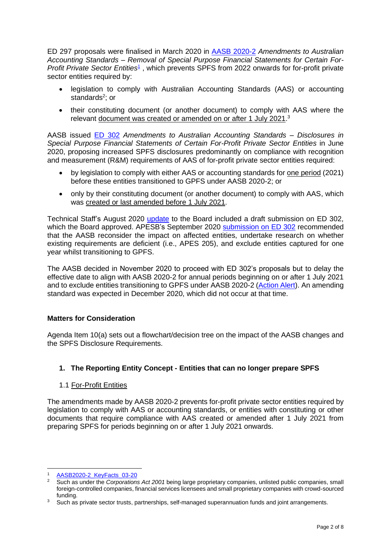ED 297 proposals were finalised in March 2020 in [AASB 2020-2](https://www.aasb.gov.au/admin/file/content105/c9/AASB_2020-2_03-20.pdf) *Amendments to Australian Accounting Standards – Removal of Special Purpose Financial Statements for Certain For-*Profit Private Sector Entities<sup>1</sup>, which prevents SPFS from 2022 onwards for for-profit private sector entities required by:

- legislation to comply with Australian Accounting Standards (AAS) or accounting standards<sup>2</sup>; or
- their constituting document (or another document) to comply with AAS where the relevant document was created or amended on or after 1 July 2021.<sup>3</sup>

AASB issued [ED 302](https://www.aasb.gov.au/admin/file/content105/c9/ACCED302_06-20.pdf) *Amendments to Australian Accounting Standards – Disclosures in Special Purpose Financial Statements of Certain For-Profit Private Sector Entities* in June 2020, proposing increased SPFS disclosures predominantly on compliance with recognition and measurement (R&M) requirements of AAS of for-profit private sector entities required:

- by legislation to comply with either AAS or accounting standards for one period (2021) before these entities transitioned to GPFS under AASB 2020-2; or
- only by their constituting document (or another document) to comply with AAS, which was created or last amended before 1 July 2021.

Technical Staff's August 2020 [update](https://apesb.org.au/wp-content/uploads/2020/08/Agenda_Item_8_Proposed_submission_on_the_AASBs_ED_SPFS_Disclosures.pdf) to the Board included a draft submission on ED 302, which the Board approved. APESB's September 2020 [submission on ED 302](https://apesb.org.au/wp-content/uploads/2020/09/APESB_Submission_AASB_ED_302.pdf) recommended that the AASB reconsider the impact on affected entities, undertake research on whether existing requirements are deficient (i.e., APES 205), and exclude entities captured for one year whilst transitioning to GPFS.

The AASB decided in November 2020 to proceed with ED 302's proposals but to delay the effective date to align with AASB 2020-2 for annual periods beginning on or after 1 July 2021 and to exclude entities transitioning to GPFS under AASB 2020-2 [\(Action Alert\)](https://aasb.gov.au/admin/file/content102/c3/205-ActionAlert.pdf). An amending standard was expected in December 2020, which did not occur at that time.

# **Matters for Consideration**

Agenda Item 10(a) sets out a flowchart/decision tree on the impact of the AASB changes and the SPFS Disclosure Requirements.

# **1. The Reporting Entity Concept - Entities that can no longer prepare SPFS**

# 1.1 For-Profit Entities

The amendments made by AASB 2020-2 prevents for-profit private sector entities required by legislation to comply with AAS or accounting standards, or entities with constituting or other documents that require compliance with AAS created or amended after 1 July 2021 from preparing SPFS for periods beginning on or after 1 July 2021 onwards.

<sup>1</sup> [AASB2020-2\\_KeyFacts\\_03-20](https://www.aasb.gov.au/admin/file/content102/c3/AASB2020-2_KeyFacts_03-20.pdf)

<sup>2</sup> Such as under the *Corporations Act 2001* being large proprietary companies, unlisted public companies, small foreign-controlled companies, financial services licensees and small proprietary companies with crowd-sourced funding.

<sup>&</sup>lt;sup>3</sup> Such as private sector trusts, partnerships, self-managed superannuation funds and joint arrangements.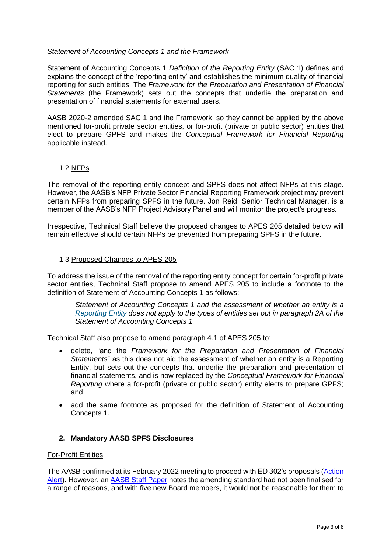#### *Statement of Accounting Concepts 1 and the Framework*

Statement of Accounting Concepts 1 *Definition of the Reporting Entity* (SAC 1) defines and explains the concept of the 'reporting entity' and establishes the minimum quality of financial reporting for such entities. The *Framework for the Preparation and Presentation of Financial Statements* (the Framework) sets out the concepts that underlie the preparation and presentation of financial statements for external users.

AASB 2020-2 amended SAC 1 and the Framework, so they cannot be applied by the above mentioned for-profit private sector entities, or for-profit (private or public sector) entities that elect to prepare GPFS and makes the *Conceptual Framework for Financial Reporting* applicable instead.

#### 1.2 NFPs

The removal of the reporting entity concept and SPFS does not affect NFPs at this stage. However, the AASB's NFP Private Sector Financial Reporting Framework project may prevent certain NFPs from preparing SPFS in the future. Jon Reid, Senior Technical Manager, is a member of the AASB's NFP Project Advisory Panel and will monitor the project's progress.

Irrespective, Technical Staff believe the proposed changes to APES 205 detailed below will remain effective should certain NFPs be prevented from preparing SPFS in the future.

#### 1.3 Proposed Changes to APES 205

To address the issue of the removal of the reporting entity concept for certain for-profit private sector entities, Technical Staff propose to amend APES 205 to include a footnote to the definition of Statement of Accounting Concepts 1 as follows:

*Statement of Accounting Concepts 1 and the assessment of whether an entity is a Reporting Entity does not apply to the types of entities set out in paragraph 2A of the Statement of Accounting Concepts 1.*

Technical Staff also propose to amend paragraph 4.1 of APES 205 to:

- delete, "and the *Framework for the Preparation and Presentation of Financial Statements*" as this does not aid the assessment of whether an entity is a Reporting Entity, but sets out the concepts that underlie the preparation and presentation of financial statements, and is now replaced by the *Conceptual Framework for Financial Reporting* where a for-profit (private or public sector) entity elects to prepare GPFS; and
- add the same footnote as proposed for the definition of Statement of Accounting Concepts 1.

# **2. Mandatory AASB SPFS Disclosures**

#### For-Profit Entities

The AASB confirmed at its February 2022 meeting to proceed with ED 302's proposals [\(Action](https://www.aasb.gov.au/media/yujjwb30/212-actionalert.pdf)  [Alert\)](https://www.aasb.gov.au/media/yujjwb30/212-actionalert.pdf). However, an [AASB Staff Paper](https://www.aasb.gov.au/media/epbeka3i/13-1_sp_spfs_disclosuresforprofitentities_m185_pp.pdf) notes the amending standard had not been finalised for a range of reasons, and with five new Board members, it would not be reasonable for them to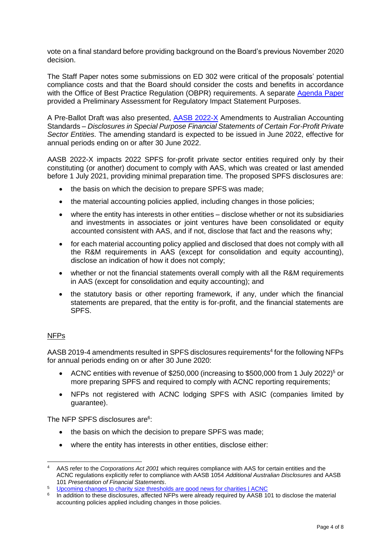vote on a final standard before providing background on the Board's previous November 2020 decision.

The Staff Paper notes some submissions on ED 302 were critical of the proposals' potential compliance costs and that the Board should consider the costs and benefits in accordance with the Office of Best Practice Regulation (OBPR) requirements. A separate [Agenda Paper](https://www.aasb.gov.au/media/itlln5rx/13-2_spfs_disclosuresris_prelimassess_m185_pp.pdf) provided a Preliminary Assessment for Regulatory Impact Statement Purposes.

A Pre-Ballot Draft was also presented, **AASB 2022-X** Amendments to Australian Accounting Standards – *Disclosures in Special Purpose Financial Statements of Certain For-Profit Private Sector Entities*. The amending standard is expected to be issued in June 2022, effective for annual periods ending on or after 30 June 2022.

AASB 2022-X impacts 2022 SPFS for-profit private sector entities required only by their constituting (or another) document to comply with AAS, which was created or last amended before 1 July 2021, providing minimal preparation time. The proposed SPFS disclosures are:

- the basis on which the decision to prepare SPFS was made;
- the material accounting policies applied, including changes in those policies;
- where the entity has interests in other entities disclose whether or not its subsidiaries and investments in associates or joint ventures have been consolidated or equity accounted consistent with AAS, and if not, disclose that fact and the reasons why;
- for each material accounting policy applied and disclosed that does not comply with all the R&M requirements in AAS (except for consolidation and equity accounting), disclose an indication of how it does not comply;
- whether or not the financial statements overall comply with all the R&M requirements in AAS (except for consolidation and equity accounting); and
- the statutory basis or other reporting framework, if any, under which the financial statements are prepared, that the entity is for-profit, and the financial statements are SPFS.

# NFPs

AASB 2019-4 amendments resulted in SPFS disclosures requirements<sup>4</sup> for the following NFPs for annual periods ending on or after 30 June 2020:

- ACNC entities with revenue of \$250,000 (increasing to \$500,000 from 1 July 2022)<sup>5</sup> or more preparing SPFS and required to comply with ACNC reporting requirements;
- NFPs not registered with ACNC lodging SPFS with ASIC (companies limited by guarantee).

The NFP SPFS disclosures are<sup>6</sup>:

- the basis on which the decision to prepare SPFS was made;
- where the entity has interests in other entities, disclose either:

<sup>4</sup> AAS refer to the *Corporations Act 2001* which requires compliance with AAS for certain entities and the ACNC regulations explicitly refer to compliance with AASB 1054 *Additional Australian Disclosures* and AASB 101 *Presentation of Financial Statements*.

<sup>5</sup> [Upcoming changes to charity size thresholds are good news for charities | ACNC](https://www.acnc.gov.au/media/news/upcoming-changes-charity-size-thresholds-are-good-news-for-charities)

<sup>&</sup>lt;sup>6</sup> In addition to these disclosures, affected NFPs were already required by AASB 101 to disclose the material accounting policies applied including changes in those policies.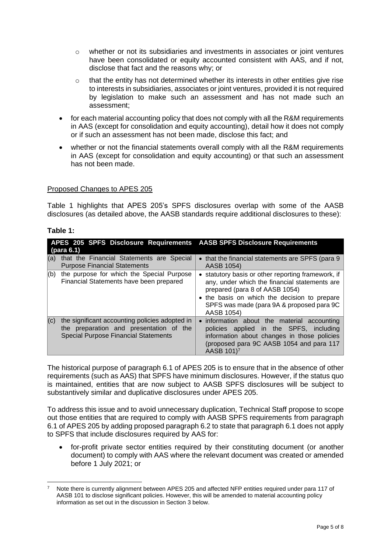- $\circ$  whether or not its subsidiaries and investments in associates or joint ventures have been consolidated or equity accounted consistent with AAS, and if not, disclose that fact and the reasons why; or
- o that the entity has not determined whether its interests in other entities give rise to interests in subsidiaries, associates or joint ventures, provided it is not required by legislation to make such an assessment and has not made such an assessment;
- for each material accounting policy that does not comply with all the R&M requirements in AAS (except for consolidation and equity accounting), detail how it does not comply or if such an assessment has not been made, disclose this fact; and
- whether or not the financial statements overall comply with all the R&M requirements in AAS (except for consolidation and equity accounting) or that such an assessment has not been made.

#### Proposed Changes to APES 205

Table 1 highlights that APES 205's SPFS disclosures overlap with some of the AASB disclosures (as detailed above, the AASB standards require additional disclosures to these):

#### **Table 1:**

| (para 6.1) | APES 205 SPFS Disclosure Requirements AASB SPFS Disclosure Requirements                                                                  |                                                                                                                                                                                                                                                  |
|------------|------------------------------------------------------------------------------------------------------------------------------------------|--------------------------------------------------------------------------------------------------------------------------------------------------------------------------------------------------------------------------------------------------|
| (a)        | that the Financial Statements are Special<br><b>Purpose Financial Statements</b>                                                         | • that the financial statements are SPFS (para 9)<br>AASB 1054)                                                                                                                                                                                  |
| (b)        | the purpose for which the Special Purpose<br>Financial Statements have been prepared                                                     | • statutory basis or other reporting framework, if<br>any, under which the financial statements are<br>prepared (para 8 of AASB 1054)<br>• the basis on which the decision to prepare<br>SPFS was made (para 9A & proposed para 9C<br>AASB 1054) |
| (c)        | the significant accounting policies adopted in<br>the preparation and presentation of the<br><b>Special Purpose Financial Statements</b> | • information about the material accounting<br>policies applied in the SPFS, including<br>information about changes in those policies<br>(proposed para 9C AASB 1054 and para 117<br>AASB 101) <sup>7</sup>                                      |

The historical purpose of paragraph 6.1 of APES 205 is to ensure that in the absence of other requirements (such as AAS) that SPFS have minimum disclosures. However, if the status quo is maintained, entities that are now subject to AASB SPFS disclosures will be subject to substantively similar and duplicative disclosures under APES 205.

To address this issue and to avoid unnecessary duplication, Technical Staff propose to scope out those entities that are required to comply with AASB SPFS requirements from paragraph 6.1 of APES 205 by adding proposed paragraph 6.2 to state that paragraph 6.1 does not apply to SPFS that include disclosures required by AAS for:

• for-profit private sector entities required by their constituting document (or another document) to comply with AAS where the relevant document was created or amended before 1 July 2021; or

<sup>7</sup> Note there is currently alignment between APES 205 and affected NFP entities required under para 117 of AASB 101 to disclose significant policies. However, this will be amended to material accounting policy information as set out in the discussion in Section 3 below.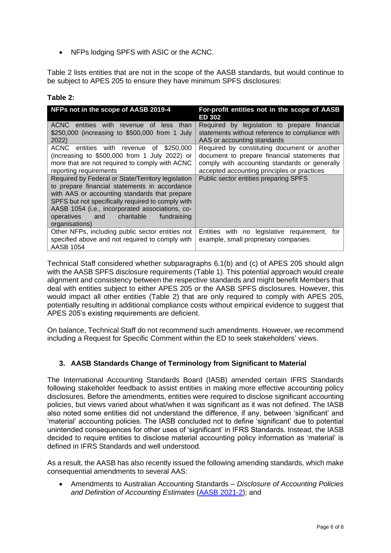• NFPs lodging SPFS with ASIC or the ACNC.

Table 2 lists entities that are not in the scope of the AASB standards, but would continue to be subject to APES 205 to ensure they have minimum SPFS disclosures:

# **Table 2:**

| NFPs not in the scope of AASB 2019-4                                                                      | For-profit entities not in the scope of AASB<br>ED 302                                          |
|-----------------------------------------------------------------------------------------------------------|-------------------------------------------------------------------------------------------------|
| entities with<br>ACNC.<br>revenue<br>than<br>0t<br>less<br>\$250,000 (increasing to \$500,000 from 1 July | Required by legislation to prepare financial<br>statements without reference to compliance with |
| 2022)                                                                                                     | AAS or accounting standards                                                                     |
| <b>ACNC</b><br>entities with revenue<br>\$250,000<br>οf                                                   | Required by constituting document or another                                                    |
| (increasing to $$500,000$ from 1 July 2022) or<br>more that are not required to comply with ACNC          | document to prepare financial statements that<br>comply with accounting standards or generally  |
| reporting requirements                                                                                    | accepted accounting principles or practices                                                     |
| Required by Federal or State/Territory legislation                                                        | Public sector entities preparing SPFS                                                           |
| to prepare financial statements in accordance<br>with AAS or accounting standards that prepare            |                                                                                                 |
| SPFS but not specifically required to comply with                                                         |                                                                                                 |
| AASB 1054 (i.e., incorporated associations, co-                                                           |                                                                                                 |
| operatives and<br>charitable<br>fundraising<br>organisations)                                             |                                                                                                 |
| Other NFPs, including public sector entities not<br>specified above and not required to comply with       | Entities with no legislative requirement,<br>tor<br>example, small proprietary companies.       |
| AASB 1054                                                                                                 |                                                                                                 |

Technical Staff considered whether subparagraphs 6.1(b) and (c) of APES 205 should align with the AASB SPFS disclosure requirements (Table 1). This potential approach would create alignment and consistency between the respective standards and might benefit Members that deal with entities subject to either APES 205 or the AASB SPFS disclosures. However, this would impact all other entities (Table 2) that are only required to comply with APES 205, potentially resulting in additional compliance costs without empirical evidence to suggest that APES 205's existing requirements are deficient.

On balance, Technical Staff do not recommend such amendments. However, we recommend including a Request for Specific Comment within the ED to seek stakeholders' views.

# **3. AASB Standards Change of Terminology from Significant to Material**

The International Accounting Standards Board (IASB) amended certain IFRS Standards following stakeholder feedback to assist entities in making more effective accounting policy disclosures. Before the amendments, entities were required to disclose significant accounting policies, but views varied about what/when it was significant as it was not defined. The IASB also noted some entities did not understand the difference, if any, between 'significant' and 'material' accounting policies. The IASB concluded not to define 'significant' due to potential unintended consequences for other uses of 'significant' in IFRS Standards. Instead, the IASB decided to require entities to disclose material accounting policy information as 'material' is defined in IFRS Standards and well understood.

As a result, the AASB has also recently issued the following amending standards, which make consequential amendments to several AAS:

• Amendments to Australian Accounting Standards – *Disclosure of Accounting Policies and Definition of Accounting Estimates* [\(AASB 2021-2\)](https://aasb.gov.au/admin/file/content105/c9/AASB2021-2_03-21.pdf); and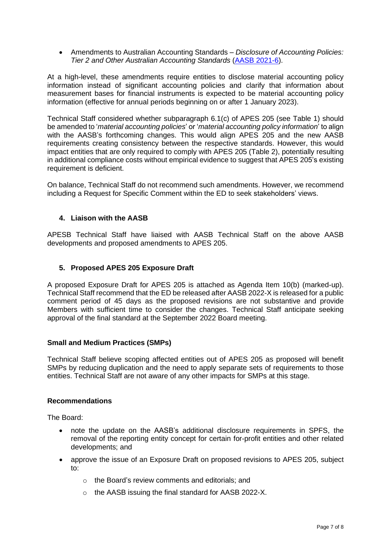• Amendments to Australian Accounting Standards – *Disclosure of Accounting Policies: Tier 2 and Other Australian Accounting Standards* [\(AASB 2021-6\)](https://aasb.gov.au/admin/file/content105/c9/AASB2021-6_12-21.pdf).

At a high-level, these amendments require entities to disclose material accounting policy information instead of significant accounting policies and clarify that information about measurement bases for financial instruments is expected to be material accounting policy information (effective for annual periods beginning on or after 1 January 2023).

Technical Staff considered whether subparagraph 6.1(c) of APES 205 (see Table 1) should be amended to '*material accounting policies*' or '*material accounting policy information*' to align with the AASB's forthcoming changes. This would align APES 205 and the new AASB requirements creating consistency between the respective standards. However, this would impact entities that are only required to comply with APES 205 (Table 2), potentially resulting in additional compliance costs without empirical evidence to suggest that APES 205's existing requirement is deficient.

On balance, Technical Staff do not recommend such amendments. However, we recommend including a Request for Specific Comment within the ED to seek stakeholders' views.

# **4. Liaison with the AASB**

APESB Technical Staff have liaised with AASB Technical Staff on the above AASB developments and proposed amendments to APES 205.

# **5. Proposed APES 205 Exposure Draft**

A proposed Exposure Draft for APES 205 is attached as Agenda Item 10(b) (marked-up). Technical Staff recommend that the ED be released after AASB 2022-X is released for a public comment period of 45 days as the proposed revisions are not substantive and provide Members with sufficient time to consider the changes. Technical Staff anticipate seeking approval of the final standard at the September 2022 Board meeting.

#### **Small and Medium Practices (SMPs)**

Technical Staff believe scoping affected entities out of APES 205 as proposed will benefit SMPs by reducing duplication and the need to apply separate sets of requirements to those entities. Technical Staff are not aware of any other impacts for SMPs at this stage.

#### **Recommendations**

The Board:

- note the update on the AASB's additional disclosure requirements in SPFS, the removal of the reporting entity concept for certain for-profit entities and other related developments; and
- approve the issue of an Exposure Draft on proposed revisions to APES 205, subject to:
	- o the Board's review comments and editorials; and
	- o the AASB issuing the final standard for AASB 2022-X.